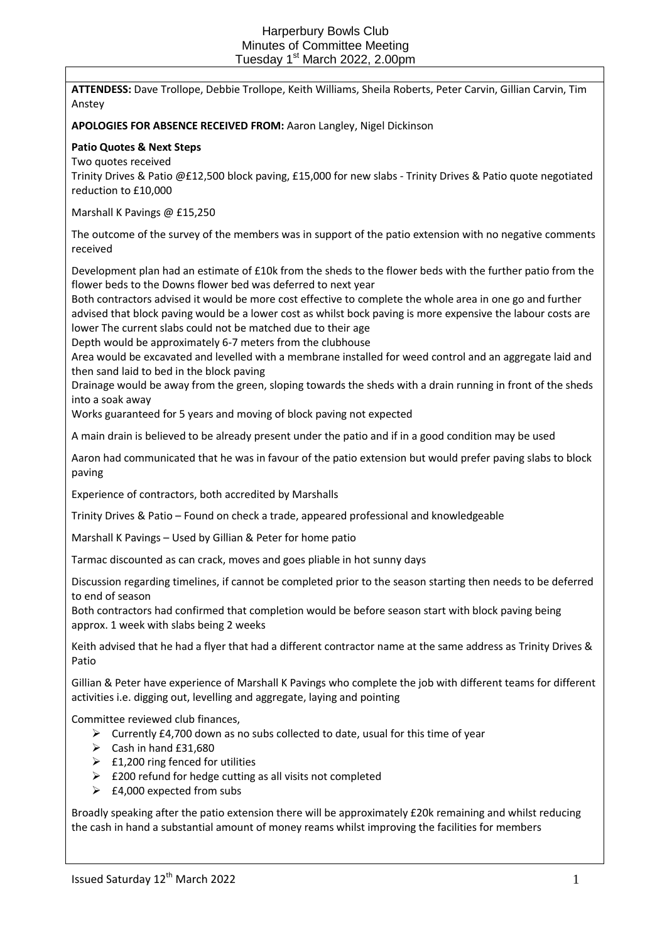**ATTENDESS:** Dave Trollope, Debbie Trollope, Keith Williams, Sheila Roberts, Peter Carvin, Gillian Carvin, Tim Anstey

# **APOLOGIES FOR ABSENCE RECEIVED FROM:** Aaron Langley, Nigel Dickinson

### **Patio Quotes & Next Steps**

Two quotes received

Trinity Drives & Patio @£12,500 block paving, £15,000 for new slabs - Trinity Drives & Patio quote negotiated reduction to £10,000

Marshall K Pavings @ £15,250

The outcome of the survey of the members was in support of the patio extension with no negative comments received

Development plan had an estimate of £10k from the sheds to the flower beds with the further patio from the flower beds to the Downs flower bed was deferred to next year

Both contractors advised it would be more cost effective to complete the whole area in one go and further advised that block paving would be a lower cost as whilst bock paving is more expensive the labour costs are lower The current slabs could not be matched due to their age

Depth would be approximately 6-7 meters from the clubhouse

Area would be excavated and levelled with a membrane installed for weed control and an aggregate laid and then sand laid to bed in the block paving

Drainage would be away from the green, sloping towards the sheds with a drain running in front of the sheds into a soak away

Works guaranteed for 5 years and moving of block paving not expected

A main drain is believed to be already present under the patio and if in a good condition may be used

Aaron had communicated that he was in favour of the patio extension but would prefer paving slabs to block paving

Experience of contractors, both accredited by Marshalls

Trinity Drives & Patio – Found on check a trade, appeared professional and knowledgeable

Marshall K Pavings – Used by Gillian & Peter for home patio

Tarmac discounted as can crack, moves and goes pliable in hot sunny days

Discussion regarding timelines, if cannot be completed prior to the season starting then needs to be deferred to end of season

Both contractors had confirmed that completion would be before season start with block paving being approx. 1 week with slabs being 2 weeks

Keith advised that he had a flyer that had a different contractor name at the same address as Trinity Drives & Patio

Gillian & Peter have experience of Marshall K Pavings who complete the job with different teams for different activities i.e. digging out, levelling and aggregate, laying and pointing

Committee reviewed club finances,

- $\triangleright$  Currently £4,700 down as no subs collected to date, usual for this time of year
- $\triangleright$  Cash in hand £31,680
- $\triangleright$  £1,200 ring fenced for utilities
- $\triangleright$  £200 refund for hedge cutting as all visits not completed
- $\geq$  £4,000 expected from subs

Broadly speaking after the patio extension there will be approximately £20k remaining and whilst reducing the cash in hand a substantial amount of money reams whilst improving the facilities for members